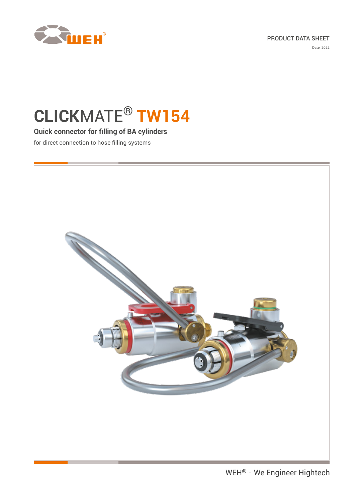



Date: 2022

# **CLICK**MATE® **TW154**

### **Quick connector for filling of BA cylinders**

for direct connection to hose filling systems

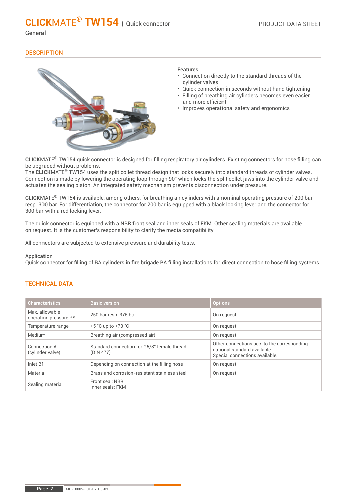#### General

#### **DESCRIPTION**



#### Features

- Connection directly to the standard threads of the cylinder valves
- Quick connection in seconds without hand tightening
- Filling of breathing air cylinders becomes even easier and more efficient
- Improves operational safety and ergonomics

**CLICK**MATE® TW154 quick connector is designed for filling respiratory air cylinders. Existing connectors for hose filling can be upgraded without problems.

The **CLICK**MATE® TW154 uses the split collet thread design that locks securely into standard threads of cylinder valves. Connection is made by lowering the operating loop through 90° which locks the split collet jaws into the cylinder valve and actuates the sealing piston. An integrated safety mechanism prevents disconnection under pressure.

**CLICK**MATE® TW154 is available, among others, for breathing air cylinders with a nominal operating pressure of 200 bar resp. 300 bar. For differentiation, the connector for 200 bar is equipped with a black locking lever and the connector for 300 bar with a red locking lever.

The quick connector is equipped with a NBR front seal and inner seals of FKM. Other sealing materials are available on request. It is the customer's responsibility to clarify the media compatibility.

All connectors are subjected to extensive pressure and durability tests.

#### Application

Quick connector for filling of BA cylinders in fire brigade BA filling installations for direct connection to hose filling systems.

#### TECHNICAL DATA

| <b>Characteristics</b>                  | <b>Basic version</b>                                     | <b>Options</b>                                                                                               |
|-----------------------------------------|----------------------------------------------------------|--------------------------------------------------------------------------------------------------------------|
| Max. allowable<br>operating pressure PS | 250 bar resp. 375 bar                                    | On request                                                                                                   |
| Temperature range                       | $+5$ °C up to $+70$ °C                                   | On request                                                                                                   |
| Medium                                  | Breathing air (compressed air)                           | On request                                                                                                   |
| Connection A<br>(cylinder valve)        | Standard connection for G5/8" female thread<br>(DIN 477) | Other connections acc. to the corresponding<br>national standard available<br>Special connections available. |
| Inlet B1                                | Depending on connection at the filling hose              | On request                                                                                                   |
| Material                                | Brass and corrosion-resistant stainless steel            | On request                                                                                                   |
| Sealing material                        | Front seal: NBR<br>Inner seals: FKM                      |                                                                                                              |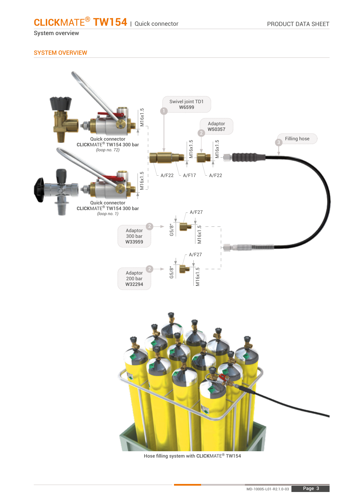System overview

#### SYSTEM OVERVIEW



Hose filling system with **CLICK**MATE® TW154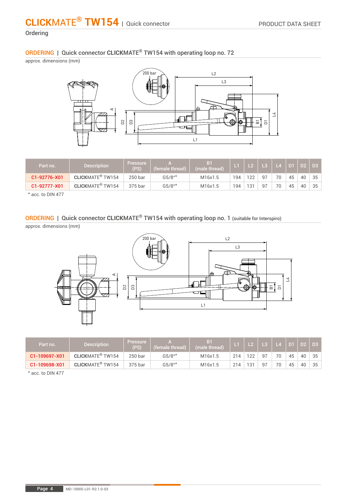#### **Ordering**

ORDERING | Quick connector **CLICK**MATE® TW154 with operating loop no. 72

approx. dimensions (mm)



| Part no.     | <b>Description</b>                 | <b>Pressure</b><br>(PS) | (female thread) | B <sub>1</sub><br>(male thread) |     |     | <b>\L3</b>     | $\overline{\mathsf{L}}$ |    | D <sub>2</sub> | D <sub>3</sub> |
|--------------|------------------------------------|-------------------------|-----------------|---------------------------------|-----|-----|----------------|-------------------------|----|----------------|----------------|
| C1-92776-X01 | <b>CLICKMATE<sup>®</sup> TW154</b> | 250 bar                 | $G5/8$ "*       | M16x1.5                         | 194 | 1つつ | Q <sub>7</sub> | 70                      | 45 | 40             | 35             |
| C1-92777-X01 | <b>CLICKMATE<sup>®</sup> TW154</b> | 375 bar                 | $G5/8$ "*       | M16x1.5                         | 194 | 121 | Q <sub>7</sub> | 70                      | 45 | 40             | 35             |

\* acc. to DIN 477

### ORDERING | Quick connector **CLICK**MATE® TW154 with operating loop no. 1 (suitable for Interspiro)

approx. dimensions (mm)



| Part no.      | <b>Description</b>                 | <b>Pressure</b><br>(PS) | (female thread) | B <sub>1</sub><br>(male thread) |     |    | $\overline{1}$ 3 | $\mathsf{L}4$ | D <sub>1</sub> | D <sub>2</sub> | D <sub>3</sub> |
|---------------|------------------------------------|-------------------------|-----------------|---------------------------------|-----|----|------------------|---------------|----------------|----------------|----------------|
| C1-109697-X01 | <b>CLICKMATE<sup>®</sup> TW154</b> | 250 bar                 | $G5/8$ "*       | M16x1.5                         | 214 | 22 | 97               | 70            | 45             | 40             | 35             |
| C1-109698-X01 | <b>CLICKMATE<sup>®</sup> TW154</b> | 375 bar                 | $G5/8$ "*       | M16x1.5                         | 214 | 21 | 97               | 70            | 45             | 40             | 35             |

\* acc. to DIN 477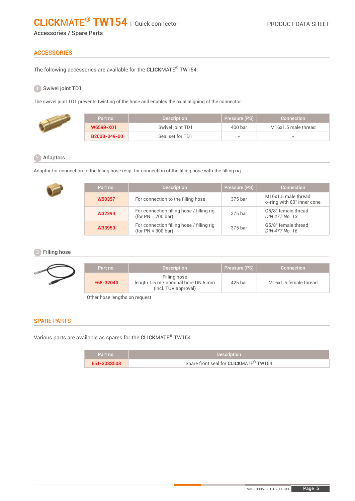Accessories / Spare Parts

#### **ACCESSORIES**

The following accessories are available for the **CLICK**MATE® TW154:

#### Swivel joint TD1 1

The swivel joint TD1 prevents twisting of the hose and enables the axial aligning of the connector.

| Part no.     | <b>Description</b> | Pressure (PS)            | <b>Connection</b>   |
|--------------|--------------------|--------------------------|---------------------|
| W6599-X01    | Swivel joint TD1   | 400 <sub>bar</sub>       | M16x1.5 male thread |
| B200B-049-00 | Seal set for TD1   | $\overline{\phantom{a}}$ |                     |

#### 2 Adaptors

Adaptor for connection to the filling hose resp. for connection of the filling hose with the filling rig.

| Part no. | <b>Description</b>                                                | Pressure (PS) | Connection                                        |
|----------|-------------------------------------------------------------------|---------------|---------------------------------------------------|
| W50357   | For connection to the filling hose                                | 375 bar       | M16x1.5 male thread<br>o-ring with 60° inner cone |
| W32294   | For connection filling hose / filling rig<br>$(for PN = 200 bar)$ | 375 bar       | G5/8" female thread<br>DIN 477 No. 13             |
| W33959   | For connection filling hose / filling rig<br>$(for PN = 300 bar)$ | 375 bar       | G5/8" female thread<br>DIN 477 No. 16             |

#### **3** Filling hose

| Part no.  | <b>Description</b>                                                          | Pressure (PS) | <b>Connection</b>     |
|-----------|-----------------------------------------------------------------------------|---------------|-----------------------|
| E68-32040 | Filling hose<br>length 1.5 m / nominal bore DN 5 mm<br>(incl. TÜV approval) | 425 bar       | M16x1.5 female thread |

Other hose lengths on request

#### SPARE PARTS

Various parts are available as spares for the **CLICK**MATE® TW154.

| Part no. 1  | <b>Description</b>                                |
|-------------|---------------------------------------------------|
| E51-308S508 | Spare front seal for CLICKMATE <sup>®</sup> TW154 |